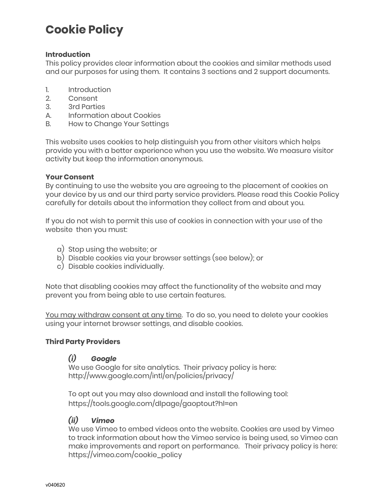### **Cookie Policy**

#### **Introduction**

This policy provides clear information about the cookies and similar methods used and our purposes for using them. It contains 3 sections and 2 support documents.

- 1. Introduction
- 2. Consent
- 3. 3rd Parties
- A. Information about Cookies
- B. How to Change Your Settings

This website uses cookies to help distinguish you from other visitors which helps provide you with a better experience when you use the website. We measure visitor activity but keep the information anonymous.

#### **Your Consent**

By continuing to use the website you are agreeing to the placement of cookies on your device by us and our third party service providers. Please read this Cookie Policy carefully for details about the information they collect from and about you.

If you do not wish to permit this use of cookies in connection with your use of the website then you must:

- a) Stop using the website; or
- b) Disable cookies via your browser settings (see below); or
- c) Disable cookies individually.

Note that disabling cookies may affect the functionality of the website and may prevent you from being able to use certain features.

You may withdraw consent at any time. To do so, you need to delete your cookies using your internet browser settings, and disable cookies.

#### **Third Party Providers**

#### *(i) Google*

We use Google for site analytics. Their privacy policy is here: [http://www.google.com/intl/en/policies/privacy/](https://www.google.com/intl/en/policies/privacy/)

To opt out you may also download and install the following tool: <https://tools.google.com/dlpage/gaoptout?hl=en>

#### *(ii) Vimeo*

We use Vimeo to embed videos onto the website. Cookies are used by Vimeo to track information about how the Vimeo service is being used, so Vimeo can make improvements and report on performance. Their privacy policy is here: [https://vimeo.com/cookie\\_policy](https://vimeo.com/cookie_policy)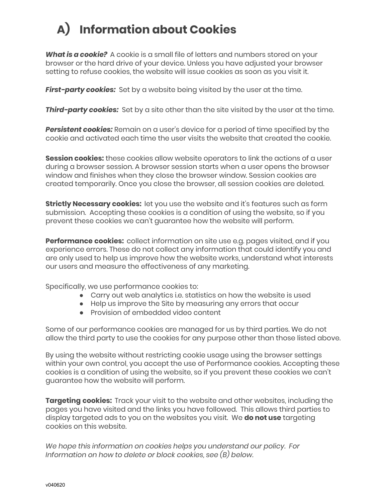## **A) Information about Cookies**

*What is a cookie?* A cookie is a small file of letters and numbers stored on your browser or the hard drive of your device. Unless you have adjusted your browser setting to refuse cookies, the website will issue cookies as soon as you visit it.

*First-party cookies:* Set by a website being visited by the user at the time.

**Third-party cookies:** Set by a site other than the site visited by the user at the time.

*Persistent cookies:* Remain on a user's device for a period of time specified by the cookie and activated each time the user visits the website that created the cookie.

**Session cookies:** these cookies allow website operators to link the actions of a user during a browser session. A browser session starts when a user opens the browser window and finishes when they close the browser window. Session cookies are created temporarily. Once you close the browser, all session cookies are deleted.

**Strictly Necessary cookies:** let you use the website and it's features such as form submission. Accepting these cookies is a condition of using the website, so if you prevent these cookies we can't guarantee how the website will perform.

**Performance cookies:** collect information on site use e.g. pages visited, and if you experience errors. These do not collect any information that could identify you and are only used to help us improve how the website works, understand what interests our users and measure the effectiveness of any marketing.

Specifically, we use performance cookies to:

- Carry out web analytics i.e. statistics on how the website is used
- Help us improve the Site by measuring any errors that occur
- Provision of embedded video content

Some of our performance cookies are managed for us by third parties. We do not allow the third party to use the cookies for any purpose other than those listed above.

By using the website without restricting cookie usage using the browser settings within your own control, you accept the use of Performance cookies. Accepting these cookies is a condition of using the website, so if you prevent these cookies we can't guarantee how the website will perform.

**Targeting cookies:** Track your visit to the website and other websites, including the pages you have visited and the links you have followed. This allows third parties to display targeted ads to you on the websites you visit. We **do not use** targeting cookies on this website.

*We hope this information on cookies helps you understand our policy. For Information on how to delete or block cookies, see (B) below.*